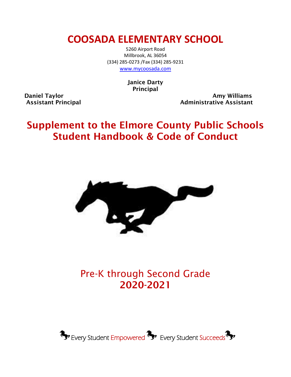## **COOSADA ELEMENTARY SCHOOL**

5260 Airport Road Millbrook, AL 36054 (334) 285-0273 /Fax (334) 285-9231 [www.mycoosada.com](http://www.mycoosada.com/)

> Janice Darty Principal

Daniel Taylor **Amy Williams** Daniel Taylor Assistant Principal Administrative Assistant

# Supplement to the Elmore County Public Schools Student Handbook & Code of Conduct



# Pre-K through Second Grade 2020-2021

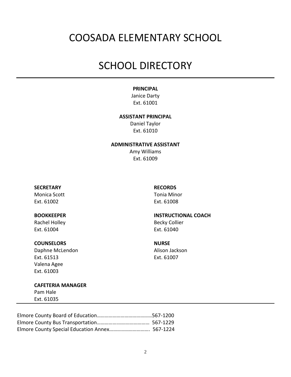## COOSADA ELEMENTARY SCHOOL

## SCHOOL DIRECTORY

#### **PRINCIPAL**

Janice Darty Ext. 61001

#### **ASSISTANT PRINCIPAL**

Daniel Taylor Ext. 61010

#### **ADMINISTRATIVE ASSISTANT**

Amy Williams Ext. 61009

#### **SECRETARY RECORDS**

Monica Scott **Tonia Minor** Ext. 61002 Ext. 61008

Ext. 61004 Ext. 61040

#### **COUNSELORS NURSE**

Daphne McLendon **Alison** Jackson Ext. 61513 Ext. 61007 Valena Agee Ext. 61003

**CAFETERIA MANAGER** Pam Hale

Ext. 61035

#### **BOOKKEEPER INSTRUCTIONAL COACH**

Rachel Holley **Becky Collier**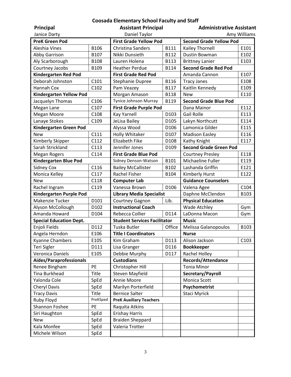#### **Coosada Elementary School Faculty and Staff**

| Principal                                                                      |           | <b>Assistant Principal</b>                          |                                | <b>Administrative Assistant</b>                       |      |
|--------------------------------------------------------------------------------|-----------|-----------------------------------------------------|--------------------------------|-------------------------------------------------------|------|
| Janice Darty<br>Daniel Taylor<br>Amy Williams                                  |           |                                                     |                                |                                                       |      |
| <b>PreK Green Pod</b><br><b>First Grade Yellow Pod</b>                         |           |                                                     | <b>Second Grade Yellow Pod</b> |                                                       |      |
| Aleshia Vines                                                                  | B106      | <b>Christina Sanders</b>                            | <b>B111</b>                    | Kailey Thornell                                       | E101 |
|                                                                                | B107      | Nikki Dunsieth                                      | B112                           | Dustin Bowman                                         | E102 |
| Abby Garrison                                                                  | B108      | Lauren Holena                                       | B113                           |                                                       | E103 |
| Aly Scarborough                                                                |           |                                                     | <b>B114</b>                    | <b>Brittney Lanier</b><br><b>Second Grade Red Pod</b> |      |
| Courtney Jacobs                                                                | B109      | <b>Heather Perdue</b><br><b>First Grade Red Pod</b> |                                |                                                       |      |
| <b>Kindergarten Red Pod</b>                                                    | C101      |                                                     |                                | Amanda Cannon                                         | E107 |
| Deborah Johnston                                                               |           | Stephanie Dupree                                    | B116                           | <b>Tracy Janes</b>                                    | E108 |
| Hannah Cox                                                                     | C102      | Pam Veazey                                          | <b>B117</b>                    | Kaitlin Kennedy                                       | E109 |
| <b>Kindergarten Yellow Pod</b>                                                 |           | Morgan Amason                                       | <b>B118</b>                    | <b>New</b>                                            | E110 |
| Jacquelyn Thomas                                                               | C106      | Tynice Johnson Murray                               | B119                           | <b>Second Grade Blue Pod</b>                          |      |
| Megan Lane                                                                     | C107      | <b>First Grade Purple Pod</b>                       |                                | Dana Mainor                                           | E112 |
| <b>Megan Moore</b>                                                             | C108      | Kay Yarnell                                         | D103                           | <b>Gail Rolle</b>                                     | E113 |
| Lanaye Stokes                                                                  | C109      | JeLisa Bailey                                       | D105                           | Lakyn Northcutt                                       | E114 |
| Kindergarten Green Pod                                                         |           | Alyssa Wood                                         | D106                           | Lamonica Gilder                                       | E115 |
| <b>New</b>                                                                     | C111      | Holly Whitaker                                      | D <sub>107</sub>               | <b>Madison Easley</b>                                 | E116 |
| Kimberly Skipper                                                               | C112      | <b>Elizabeth Fike</b>                               | D108                           | Kathy Knight                                          | E117 |
| Sarah Strickland                                                               | C113      | Jennifer Jones                                      | D109                           | <b>Second Grade Green Pod</b>                         |      |
| <b>Megan Rogers</b>                                                            | C114      | <b>First Grade Blue Pod</b>                         |                                | <b>Courtney Presley</b>                               | E118 |
| <b>Kindergarten Blue Pod</b>                                                   |           | Sidney Denson-Watson                                | B101                           | Michaeline Fuller                                     | E119 |
| <b>Sidney Cox</b>                                                              | C116      | <b>Bailey McCallister</b>                           | B102                           | Lashanda Griffin                                      | E121 |
| Monica Kelley                                                                  | C117      | Rachel Fisher                                       | B104                           | Kimberly Hurst                                        | E122 |
| <b>New</b>                                                                     | C118      | <b>Computer Lab</b>                                 |                                | <b>Guidance Counselors</b>                            |      |
| Rachel Ingram                                                                  | C119      | Vanessa Brown                                       | D106                           | Valena Agee                                           | C104 |
| Kindergarten Purple Pod<br><b>Library Media Specialist</b><br>Daphne McClendon |           | B103                                                |                                |                                                       |      |
| Makenzie Tucker                                                                | D101      | Lib.<br>Courtney Gagnon                             |                                | <b>Physical Education</b>                             |      |
| Alyson McCollough                                                              | D102      | <b>Instructional Coach</b>                          |                                | <b>Wade Atchley</b>                                   | Gym  |
| Amanda Howard                                                                  | D104      | Rebecca Collier<br>D114<br>LaDonna Macon            |                                |                                                       | Gym  |
| <b>Special Education Dept.</b>                                                 |           | <b>Student Services Facilitator</b><br><b>Music</b> |                                |                                                       |      |
| Enjoli Fields                                                                  | D112      | Tuska Butler                                        | Office                         | Melissa Galanopoulos                                  | B103 |
| Angela Herndon                                                                 | E106      | <b>Title I Coordinators</b>                         |                                | <b>Nurse</b>                                          |      |
| <b>Kyanne Chambers</b>                                                         | E105      | Kim Graham                                          | D113                           | Alison Jackson                                        | C103 |
| Teri Sigler                                                                    | D111      | Lisa Granger                                        | D116                           | <b>Bookkeeper</b>                                     |      |
| Veronica Daniels                                                               | E105      | Debbie Murphy                                       | D117                           | Rachel Holley                                         |      |
| Aides/Paraprofessionals                                                        |           | <b>Custodians</b>                                   |                                | <b>Records/Attendance</b>                             |      |
| Renee Bingham                                                                  | <b>PE</b> | Christopher Hill                                    |                                | <b>Tonia Minor</b>                                    |      |
| <b>Tina Burkhead</b>                                                           | Title     | Steven Mayfield                                     |                                | Secretary/Payroll                                     |      |
| Yalonda Cole                                                                   | SpEd      | Annie Moore                                         |                                | Monica Scott                                          |      |
| <b>Cheryl Davis</b>                                                            | SpEd      | Marilyn Porterfield                                 |                                | Psychometrist                                         |      |
| <b>Tracy Davis</b>                                                             | Title     | <b>Bernice Salter</b>                               |                                | Staci Myrick                                          |      |
| Ruby Floyd                                                                     | PreKSped  | <b>PreK Auxiliary Teachers</b>                      |                                |                                                       |      |
| Shannon Foshee                                                                 | <b>PE</b> | Raquita Atkins                                      |                                |                                                       |      |
| Siri Haughton                                                                  | SpEd      | <b>Erishay Harris</b>                               |                                |                                                       |      |
| <b>New</b>                                                                     | SpEd      | <b>Braiden Sheppard</b>                             |                                |                                                       |      |
| Kala Monfee                                                                    | SpEd      | Valeria Trotter                                     |                                |                                                       |      |
| Michele Wilson                                                                 | SpEd      |                                                     |                                |                                                       |      |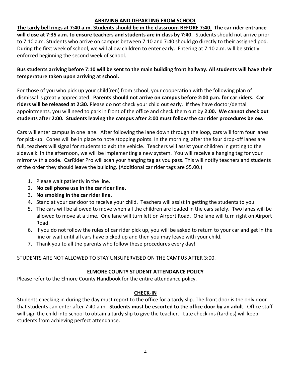#### **ARRIVING AND DEPARTING FROM SCHOOL**

**The tardy bell rings at 7:40 a.m. Students should be in the classroom BEFORE 7:40. The car rider entrance will close at 7:35 a.m. to ensure teachers and students are in class by 7:40.** Students should not arrive prior to 7:10 a.m. Students who arrive on campus between 7:10 and 7:40 should go directly to their assigned pod. During the first week of school, we will allow children to enter early. Entering at 7:10 a.m. will be strictly enforced beginning the second week of school.

#### **Bus students arriving before 7:10 will be sent to the main building front hallway. All students will have their temperature taken upon arriving at school.**

For those of you who pick up your child(ren) from school, your cooperation with the following plan of dismissal is greatly appreciated. **Parents should not arrive on campus before 2:00 p.m. for car riders. Car riders will be released at 2:30.** Please do not check your child out early. If they have doctor/dental appointments, you will need to park in front of the office and check them out by **2:00. We cannot check out students after 2:00. Students leaving the campus after 2:00 must follow the car rider procedures below.**

Cars will enter campus in one lane. After following the lane down through the loop, cars will form four lanes for pick-up. Cones will be in place to note stopping points. In the morning, after the four drop-off lanes are full, teachers will signal for students to exit the vehicle. Teachers will assist your children in getting to the sidewalk. In the afternoon, we will be implementing a new system. You will receive a hanging tag for your mirror with a code. CarRider Pro will scan your hanging tag as you pass. This will notify teachers and students of the order they should leave the building. (Additional car rider tags are \$5.00.)

- 1. Please wait patiently in the line.
- 2. **No cell phone use in the car rider line.**
- 3. **No smoking in the car rider line.**
- 4. Stand at your car door to receive your child. Teachers will assist in getting the students to you.
- 5. The cars will be allowed to move when all the children are loaded in the cars safely. Two lanes will be allowed to move at a time. One lane will turn left on Airport Road. One lane will turn right on Airport Road.
- 6. If you do not follow the rules of car rider pick up, you will be asked to return to your car and get in the line or wait until all cars have picked up and then you may leave with your child.
- 7. Thank you to all the parents who follow these procedures every day!

STUDENTS ARE NOT ALLOWED TO STAY UNSUPERVISED ON THE CAMPUS AFTER 3:00.

#### **ELMORE COUNTY STUDENT ATTENDANCE POLICY**

Please refer to the Elmore County Handbook for the entire attendance policy.

#### **CHECK-IN**

Students checking in during the day must report to the office for a tardy slip. The front door is the only door that students can enter after 7:40 a.m. **Students must be escorted to the office door by an adult**. Office staff will sign the child into school to obtain a tardy slip to give the teacher. Late check-ins (tardies) will keep students from achieving perfect attendance.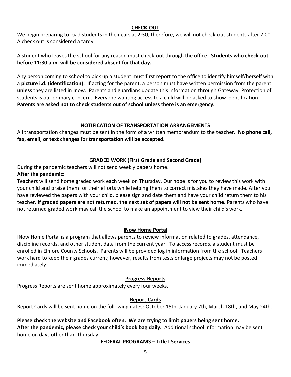#### **CHECK-OUT**

We begin preparing to load students in their cars at 2:30; therefore, we will not check-out students after 2:00. A check out is considered a tardy.

A student who leaves the school for any reason must check-out through the office. **Students who check-out before 11:30 a.m. will be considered absent for that day.**

Any person coming to school to pick up a student must first report to the office to identify himself/herself with a **picture i.d. (identification).** If acting for the parent, a person must have written permission from the parent **unless** they are listed in Inow. Parents and guardians update this information through Gateway. Protection of students is our primary concern. Everyone wanting access to a child will be asked to show identification. **Parents are asked not to check students out of school unless there is an emergency.**

#### **NOTIFICATION OF TRANSPORTATION ARRANGEMENTS**

All transportation changes must be sent in the form of a written memorandum to the teacher. **No phone call, fax, email, or text changes for transportation will be accepted.**

#### **GRADED WORK (First Grade and Second Grade)**

During the pandemic teachers will not send weekly papers home.

#### **After the pandemic:**

Teachers will send home graded work each week on Thursday. Our hope is for you to review this work with your child and praise them for their efforts while helping them to correct mistakes they have made. After you have reviewed the papers with your child, please sign and date them and have your child return them to his teacher. **If graded papers are not returned, the next set of papers will not be sent home.** Parents who have not returned graded work may call the school to make an appointment to view their child's work.

### **INow Home Portal**

INow Home Portal is a program that allows parents to review information related to grades, attendance, discipline records, and other student data from the current year. To access records, a student must be enrolled in Elmore County Schools. Parents will be provided log in information from the school. Teachers work hard to keep their grades current; however, results from tests or large projects may not be posted immediately.

#### **Progress Reports**

Progress Reports are sent home approximately every four weeks.

### **Report Cards**

Report Cards will be sent home on the following dates: October 15th, January 7th, March 18th, and May 24th.

#### **Please check the website and Facebook often. We are trying to limit papers being sent home. After the pandemic, please check your child's book bag daily.** Additional school information may be sent home on days other than Thursday.

#### **FEDERAL PROGRAMS – Title I Services**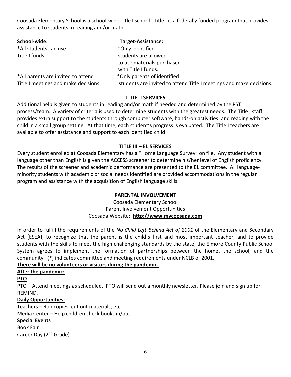Coosada Elementary School is a school-wide Title I school. Title I is a federally funded program that provides assistance to students in reading and/or math.

| School-wide:                         | <b>Target-Assistance:</b>                                           |
|--------------------------------------|---------------------------------------------------------------------|
| *All students can use                | *Only identified                                                    |
| Title I funds.                       | students are allowed                                                |
|                                      | to use materials purchased                                          |
|                                      | with Title I funds.                                                 |
| *All parents are invited to attend   | *Only parents of identified                                         |
| Title I meetings and make decisions. | students are invited to attend Title I meetings and make decisions. |

#### **TITLE I SERVICES**

Additional help is given to students in reading and/or math if needed and determined by the PST process/team. A variety of criteria is used to determine students with the greatest needs. The Title I staff provides extra support to the students through computer software, hands-on activities, and reading with the child in a small group setting. At that time, each student's progress is evaluated. The Title I teachers are available to offer assistance and support to each identified child.

#### **TITLE III – EL SERVICES**

Every student enrolled at Coosada Elementary has a "Home Language Survey" on file. Any student with a language other than English is given the ACCESS screener to determine his/her level of English proficiency. The results of the screener and academic performance are presented to the EL committee. All languageminority students with academic or social needs identified are provided accommodations in the regular program and assistance with the acquisition of English language skills.

#### **PARENTAL INVOLVEMENT**

Coosada Elementary School Parent Involvement Opportunities Coosada Website**: [http://www.mycoosada.com](http://www.mycoosada.com/)**

In order to fulfill the requirements of the *No Child Left Behind Act of 2001* of the Elementary and Secondary Act (ESEA), to recognize that the parent is the child's first and most important teacher, and to provide students with the skills to meet the high challenging standards by the state, the Elmore County Public School System agrees to implement the formation of partnerships between the home, the school, and the community. (\*) indicates committee and meeting requirements under NCLB of 2001.

#### **There will be no volunteers or visitors during the pandemic.**

#### **After the pandemic:**

#### **PTO**

PTO – Attend meetings as scheduled. PTO will send out a monthly newsletter. Please join and sign up for REMIND.

#### **Daily Opportunities:**

Teachers – Run copies, cut out materials, etc.

Media Center – Help children check books in/out.

#### **Special Events**

Book Fair Career Day (2nd Grade)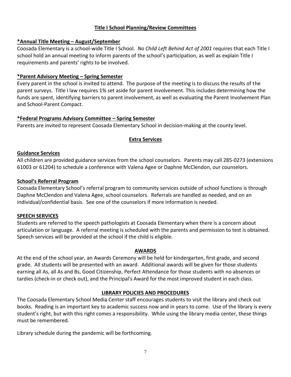#### **Title I School Planning/Review Committees**

#### **\*Annual Title Meeting – August/September**

Coosada Elementary is a school-wide Title I School. *No Child Left Behind Act of 2001* requires that each Title I school hold an annual meeting to inform parents of the school's participation, as well as explain Title I requirements and parents' rights to be involved.

#### **\*Parent Advisory Meeting – Spring Semester**

Every parent in the school is invited to attend. The purpose of the meeting is to discuss the results of the parent surveys. Title I law requires 1% set aside for parent involvement. This includes determining how the funds are spent, identifying barriers to parent involvement, as well as evaluating the Parent Involvement Plan and School-Parent Compact.

#### **\*Federal Programs Advisory Committee – Spring Semester**

Parents are invited to represent Coosada Elementary School in decision-making at the county level.

#### **Extra Services**

#### **Guidance Services**

All children are provided guidance services from the school counselors. Parents may call 285-0273 (extensions 61003 or 61204) to schedule a conference with Valena Agee or Daphne McClendon, our counselors.

#### **School's Referral Program**

Coosada Elementary School's referral program to community services outside of school functions is through Daphne McClendon and Valena Agee, school counselors. Referrals are handled as needed, and on an individual/confidential basis. See one of the counselors if more information is needed.

#### **SPEECH SERVICES**

Students are referred to the speech pathologists at Coosada Elementary when there is a concern about articulation or language. A referral meeting is scheduled with the parents and permission to test is obtained. Speech services will be provided at the school if the child is eligible.

#### **AWARDS**

At the end of the school year, an Awards Ceremony will be held for kindergarten, first grade, and second grade. All students will be presented with an award. Additional awards will be given for those students earning all As, all As and Bs, Good Citizenship, Perfect Attendance for those students with no absences or tardies (check-in or check out), and the Principal's Award for the most improved student in each class.

#### **LIBRARY POLICIES AND PROCEDURES**

The Coosada Elementary School Media Center staff encourages students to visit the library and check out books. Reading is an important key to academic success now and in years to come. Use of the library is every student's right, but with this right comes a responsibility. While using the library media center, these things must be remembered.

Library schedule during the pandemic will be forthcoming.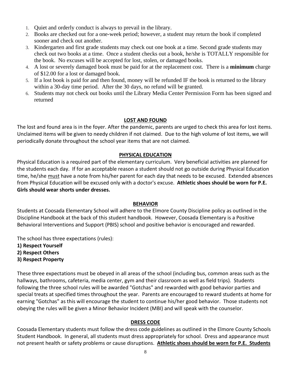- 1. Quiet and orderly conduct is always to prevail in the library.
- 2. Books are checked out for a one-week period; however, a student may return the book if completed sooner and check out another.
- 3. Kindergarten and first grade students may check out one book at a time. Second grade students may check out two books at a time. Once a student checks out a book, he/she is TOTALLY responsible for the book. No excuses will be accepted for lost, stolen, or damaged books.
- 4. A lost or severely damaged book must be paid for at the replacement cost. There is a **minimum** charge of \$12.00 for a lost or damaged book.
- 5. If a lost book is paid for and then found, money will be refunded IF the book is returned to the library within a 30-day time period. After the 30 days, no refund will be granted.
- 6. Students may not check out books until the Library Media Center Permission Form has been signed and returned

#### **LOST AND FOUND**

The lost and found area is in the foyer. After the pandemic, parents are urged to check this area for lost items. Unclaimed items will be given to needy children if not claimed. Due to the high volume of lost items, we will periodically donate throughout the school year items that are not claimed.

#### **PHYSICAL EDUCATION**

Physical Education is a required part of the elementary curriculum. Very beneficial activities are planned for the students each day. If for an acceptable reason a student should not go outside during Physical Education time, he/she must have a note from his/her parent for each day that needs to be excused. Extended absences from Physical Education will be excused only with a doctor's excuse. **Athletic shoes should be worn for P.E. Girls should wear shorts under dresses.**

#### **BEHAVIOR**

Students at Coosada Elementary School will adhere to the Elmore County Discipline policy as outlined in the Discipline Handbook at the back of this student handbook. However, Coosada Elementary is a Positive Behavioral Interventions and Support (PBIS) school and positive behavior is encouraged and rewarded.

The school has three expectations (rules):

- **1) Respect Yourself**
- **2) Respect Others**
- **3) Respect Property**

These three expectations must be obeyed in all areas of the school (including bus, common areas such as the hallways, bathrooms, cafeteria, media center, gym and their classroom as well as field trips). Students following the three school rules will be awarded "Gotchas" and rewarded with good behavior parties and special treats at specified times throughout the year. Parents are encouraged to reward students at home for earning "Gotchas" as this will encourage the student to continue his/her good behavior. Those students not obeying the rules will be given a Minor Behavior Incident (MBI) and will speak with the counselor.

#### **DRESS CODE**

Coosada Elementary students must follow the dress code guidelines as outlined in the Elmore County Schools Student Handbook. In general, all students must dress appropriately for school. Dress and appearance must not present health or safety problems or cause disruptions. **Athletic shoes should be worn for P.E. Students**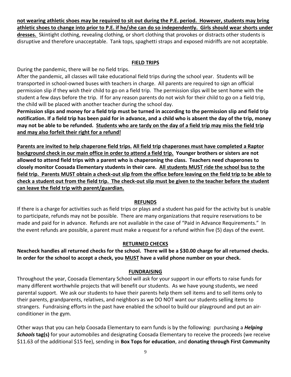**not wearing athletic shoes may be required to sit out during the P.E. period. However, students may bring athletic shoes to change into prior to P.E. if he/she can do so independently. Girls should wear shorts under dresses.** Skintight clothing, revealing clothing, or short clothing that provokes or distracts other students is disruptive and therefore unacceptable. Tank tops, spaghetti straps and exposed midriffs are not acceptable.

#### **FIELD TRIPS**

During the pandemic, there will be no field trips.

After the pandemic, all classes will take educational field trips during the school year. Students will be transported in school-owned buses with teachers in charge. All parents are required to sign an official permission slip if they wish their child to go on a field trip. The permission slips will be sent home with the student a few days before the trip. If for any reason parents do not wish for their child to go on a field trip, the child will be placed with another teacher during the school day.

**Permission slips and money for a field trip must be turned in according to the permission slip and field trip notification. If a field trip has been paid for in advance, and a child who is absent the day of the trip, money may not be able to be refunded. Students who are tardy on the day of a field trip may miss the field trip and may also forfeit their right for a refund!**

**Parents are invited to help chaperone field trips. All field trip chaperones must have completed a Raptor background check in our main office in order to attend a field trip. Younger brothers or sisters are not allowed to attend field trips with a parent who is chaperoning the class. Teachers need chaperones to closely monitor Coosada Elementary students in their care. All students MUST ride the school bus to the field trip. Parents MUST obtain a check-out slip from the office before leaving on the field trip to be able to check a student out from the field trip. The check-out slip must be given to the teacher before the student can leave the field trip with parent/guardian.** 

#### **REFUNDS**

If there is a charge for activities such as field trips or plays and a student has paid for the activity but is unable to participate, refunds may not be possible. There are many organizations that require reservations to be made and paid for in advance. Refunds are not available in the case of "Paid in Advance Requirements." In the event refunds are possible, a parent must make a request for a refund within five (5) days of the event.

### **RETURNED CHECKS**

**Nexcheck handles all returned checks for the school. There will be a \$30.00 charge for all returned checks. In order for the school to accept a check, you MUST have a valid phone number on your check.** 

#### **FUNDRAISING**

Throughout the year, Coosada Elementary School will ask for your support in our efforts to raise funds for many different worthwhile projects that will benefit our students. As we have young students, we need parental support. We ask our students to have their parents help them sell items and to sell items only to their parents, grandparents, relatives, and neighbors as we DO NOT want our students selling items to strangers. Fundraising efforts in the past have enabled the school to build our playground and put an airconditioner in the gym.

Other ways that you can help Coosada Elementary to earn funds is by the following: purchasing a *Helping Schools* **tag(s)** for your automobiles and designating Coosada Elementary to receive the proceeds (we receive \$11.63 of the additional \$15 fee), sending in **Box Tops for education**, and **donating through First Community**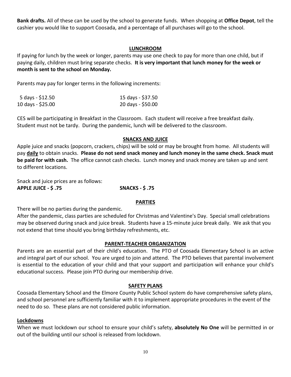**Bank drafts.** All of these can be used by the school to generate funds. When shopping at **Office Depot**, tell the cashier you would like to support Coosada, and a percentage of all purchases will go to the school.

#### **LUNCHROOM**

If paying for lunch by the week or longer, parents may use one check to pay for more than one child, but if paying daily, children must bring separate checks. **It is very important that lunch money for the week or month is sent to the school on Monday.**

Parents may pay for longer terms in the following increments:

| 5 days - \$12.50  | 15 days - \$37.50 |
|-------------------|-------------------|
| 10 days - \$25.00 | 20 days - \$50.00 |

CES will be participating in Breakfast in the Classroom. Each student will receive a free breakfast daily. Student must not be tardy. During the pandemic, lunch will be delivered to the classroom.

#### **SNACKS AND JUICE**

Apple juice and snacks (popcorn, crackers, chips) will be sold or may be brought from home. All students will pay **daily** to obtain snacks. **Please do not send snack money and lunch money in the same check. Snack must be paid for with cash.** The office cannot cash checks. Lunch money and snack money are taken up and sent to different locations.

Snack and juice prices are as follows: **APPLE JUICE - \$ .75 SNACKS - \$ .75**

#### **PARTIES**

There will be no parties during the pandemic.

After the pandemic, class parties are scheduled for Christmas and Valentine's Day. Special small celebrations may be observed during snack and juice break. Students have a 15-minute juice break daily. We ask that you not extend that time should you bring birthday refreshments, etc.

#### **PARENT-TEACHER ORGANIZATION**

Parents are an essential part of their child's education. The PTO of Coosada Elementary School is an active and integral part of our school. You are urged to join and attend. The PTO believes that parental involvement is essential to the education of your child and that your support and participation will enhance your child's educational success. Please join PTO during our membership drive.

#### **SAFETY PLANS**

Coosada Elementary School and the Elmore County Public School system do have comprehensive safety plans, and school personnel are sufficiently familiar with it to implement appropriate procedures in the event of the need to do so. These plans are not considered public information.

#### **Lockdowns**

When we must lockdown our school to ensure your child's safety, **absolutely No One** will be permitted in or out of the building until our school is released from lockdown.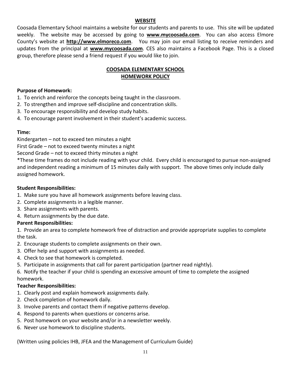#### **WEBSITE**

Coosada Elementary School maintains a website for our students and parents to use. This site will be updated weekly. The website may be accessed by going to **[www.mycoosada.com](http://www.mycoosada.com/)**. You can also access Elmore County's website at **[http://www.elmoreco.com](http://www.elmoreco.com/)**. You may join our email listing to receive reminders and updates from the principal at **[www.mycoosada.com](http://www.mycoosada.com/)**. CES also maintains a Facebook Page. This is a closed group, therefore please send a friend request if you would like to join.

#### **COOSADA ELEMENTARY SCHOOL HOMEWORK POLICY**

#### **Purpose of Homework:**

- 1. To enrich and reinforce the concepts being taught in the classroom.
- 2. To strengthen and improve self-discipline and concentration skills.
- 3. To encourage responsibility and develop study habits.
- 4. To encourage parent involvement in their student's academic success.

#### **Time:**

Kindergarten – not to exceed ten minutes a night

First Grade – not to exceed twenty minutes a night

Second Grade – not to exceed thirty minutes a night

\*These time frames do not include reading with your child. Every child is encouraged to pursue non-assigned and independent reading a minimum of 15 minutes daily with support. The above times only include daily assigned homework.

#### **Student Responsibilities:**

- 1. Make sure you have all homework assignments before leaving class.
- 2. Complete assignments in a legible manner.
- 3. Share assignments with parents.
- 4. Return assignments by the due date.

#### **Parent Responsibilities:**

1. Provide an area to complete homework free of distraction and provide appropriate supplies to complete the task.

- 2. Encourage students to complete assignments on their own.
- 3. Offer help and support with assignments as needed.
- 4. Check to see that homework is completed.
- 5. Participate in assignments that call for parent participation (partner read nightly).

6. Notify the teacher if your child is spending an excessive amount of time to complete the assigned homework.

#### **Teacher Responsibilities:**

- 1. Clearly post and explain homework assignments daily.
- 2. Check completion of homework daily.
- 3. Involve parents and contact them if negative patterns develop.
- 4. Respond to parents when questions or concerns arise.
- 5. Post homework on your website and/or in a newsletter weekly.
- 6. Never use homework to discipline students.

(Written using policies IHB, JFEA and the Management of Curriculum Guide)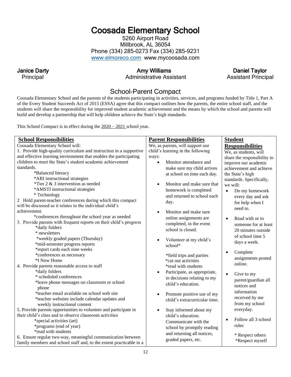## Coosada Elementary School

5260 Airport Road Millbrook, AL 36054 Phone (334) 285-0273 Fax (334) 285-9231 [www.elmoreco.com](http://www.elmoreco.com/) www.mycoosada.com

Principal **Administrative Assistant Assistant Assistant Principal** 

Janice Darty **Amy Williams** Amy Williams **Daniel Taylor** 

### School-Parent Compact

Coosada Elementary School and the parents of the students participating in activities, services, and programs funded by Title 1, Part A of the Every Student Succeeds Act of 2015 (ESSA) agree that this compact outlines how the parents, the entire school staff, and the students will share the responsibility for improved student academic achievement and the means by which the school and parents will build and develop a partnership that will help children achieve the State's high standards.

This School Compact is in effect during the  $2020 - 2021$  school year.

| <b>School Responsibilities</b>                                                                                              | <b>Parent Responsibilities</b>            | <b>Student</b>                   |
|-----------------------------------------------------------------------------------------------------------------------------|-------------------------------------------|----------------------------------|
| Coosada Elementary School will:                                                                                             | We, as parents, will support our          | <b>Responsibilities</b>          |
| 1. Provide high-quality curriculum and instruction in a supportive                                                          | child's learning in the following         | We, as students, will            |
| and effective learning environment that enables the participating                                                           | ways:                                     | share the responsibility to      |
| children to meet the State's student academic achievement                                                                   | Monitor attendance and                    | improve our academic             |
| standards.                                                                                                                  | make sure my child arrives                | achievement and achieve          |
| *Balanced literacy                                                                                                          | at school on time each day.               | the State's high                 |
| *ARI instructional strategies                                                                                               |                                           | standards. Specifically,         |
| *Tier $2 \& 3$ intervention as needed                                                                                       | Monitor and make sure that<br>$\bullet$   | we will:                         |
| *AMSTI instructional strategies                                                                                             | homework is completed                     | Do my homework<br>$\bullet$      |
| * Technology                                                                                                                | and returned to school each               | every day and ask                |
| 2 Hold parent-teacher conferences during which this compact                                                                 | day.                                      | for help when I                  |
| will be discussed as it relates to the individual child's                                                                   |                                           | need to.                         |
| achievement.                                                                                                                | Monitor and make sure                     |                                  |
| *conferences throughout the school year as needed                                                                           | online assignments are                    | Read with or to<br>$\bullet$     |
| 3. Provide parents with frequent reports on their child's progress                                                          | completed, in the event                   | someone for at least             |
| *daily folders                                                                                                              | school is closed.                         | 20 minutes outside               |
| * newsletters                                                                                                               |                                           | of school time 5                 |
| *weekly graded papers (Thursday)                                                                                            | Volunteer at my child's                   | days a week.                     |
| *mid-semester progress reports                                                                                              | school*                                   |                                  |
| *report cards each nine weeks                                                                                               |                                           | Complete<br>$\bullet$            |
| *conferences as necessary                                                                                                   | *field trips and parties                  | assignments posted               |
| *I Now Home                                                                                                                 | *cut out activities                       | online.                          |
| 4. Provide parents reasonable access to staff                                                                               | *read with students                       |                                  |
| *daily folders                                                                                                              | Participate, as appropriate,<br>$\bullet$ | $\bullet$<br>Give to my          |
| * scheduled conferences                                                                                                     | in decisions relating to my               | parent/guardian all              |
| *leave phone messages on classroom or school                                                                                | child's education.                        | notices and                      |
| phone                                                                                                                       |                                           | information                      |
| *teacher email available on school web site                                                                                 | Promote positive use of my<br>$\bullet$   | received by me                   |
| *teacher websites include calendar updates and                                                                              | child's extracurricular time.             | from my school                   |
| weekly instructional content                                                                                                |                                           |                                  |
| 5. Provide parents opportunities to volunteer and participate in<br>their child's class and to observe classroom activities | Stay informed about my<br>$\bullet$       | everyday.                        |
|                                                                                                                             | child's education.                        | Follow all 3 school<br>$\bullet$ |
| *special activities (art)                                                                                                   | Communicate with the                      | rules                            |
| *programs (end of year)<br>*read with students                                                                              | school by promptly reading                |                                  |
| 6. Ensure regular two-way, meaningful communication between                                                                 | and returning all notices,                | * Respect others                 |
| family members and school staff and, to the extent practicable in a                                                         | graded papers, etc.                       | *Respect myself                  |
|                                                                                                                             |                                           |                                  |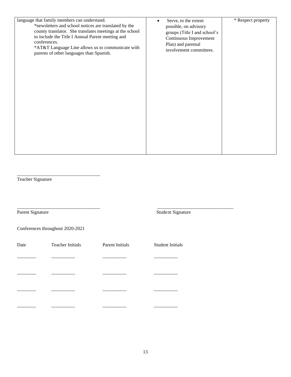| language that family members can understand.                                                  | Serve, to the extent         | * Respect property |
|-----------------------------------------------------------------------------------------------|------------------------------|--------------------|
| *newsletters and school notices are translated by the                                         | possible, on advisory        |                    |
| county translator. She translates meetings at the school                                      | groups (Title I and school's |                    |
| to include the Title I Annual Parent meeting and                                              | Continuous Improvement       |                    |
| conferences.                                                                                  | Plan) and parental           |                    |
| *AT&T Language Line allows us to communicate with<br>parents of other languages than Spanish. | involvement committees.      |                    |
|                                                                                               |                              |                    |
|                                                                                               |                              |                    |
|                                                                                               |                              |                    |
|                                                                                               |                              |                    |
|                                                                                               |                              |                    |
|                                                                                               |                              |                    |
|                                                                                               |                              |                    |
|                                                                                               |                              |                    |
|                                                                                               |                              |                    |
|                                                                                               |                              |                    |
|                                                                                               |                              |                    |
|                                                                                               |                              |                    |
|                                                                                               |                              |                    |
|                                                                                               |                              |                    |
|                                                                                               |                              |                    |

Teacher Signature

\_\_\_\_\_\_\_\_\_\_\_\_\_\_\_\_\_\_\_\_\_\_\_\_\_\_\_\_\_\_\_\_\_\_\_ \_\_\_\_\_\_\_\_\_\_\_\_\_\_\_\_\_\_\_\_\_\_\_\_\_\_\_\_\_\_\_\_ Parent Signature Student Signature Student Signature

Conferences throughout 2020-2021

\_\_\_\_\_\_\_\_\_\_\_\_\_\_\_\_\_\_\_\_\_\_\_\_\_\_\_\_\_\_\_\_\_\_\_

| Date | <b>Teacher Initials</b> | Parent Initials | <b>Student Initials</b> |
|------|-------------------------|-----------------|-------------------------|
|      |                         |                 |                         |
|      |                         |                 |                         |
|      |                         |                 |                         |
|      |                         |                 |                         |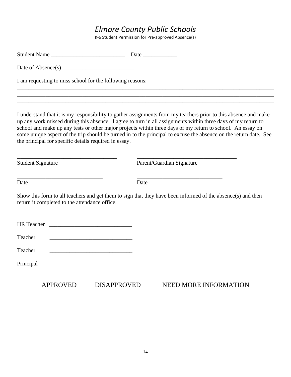## *Elmore County Public Schools*

K-6 Student Permission for Pre-approved Absence(s)

| I am requesting to miss school for the following reasons:        |                                                                                                                                                                                                                                                                                                                                                                                                                                                                    |
|------------------------------------------------------------------|--------------------------------------------------------------------------------------------------------------------------------------------------------------------------------------------------------------------------------------------------------------------------------------------------------------------------------------------------------------------------------------------------------------------------------------------------------------------|
|                                                                  |                                                                                                                                                                                                                                                                                                                                                                                                                                                                    |
| the principal for specific details required in essay.            | I understand that it is my responsibility to gather assignments from my teachers prior to this absence and make<br>up any work missed during this absence. I agree to turn in all assignments within three days of my return to<br>school and make up any tests or other major projects within three days of my return to school. An essay on<br>some unique aspect of the trip should be turned in to the principal to excuse the absence on the return date. See |
| <b>Student Signature</b>                                         | Parent/Guardian Signature                                                                                                                                                                                                                                                                                                                                                                                                                                          |
| Date                                                             | Date                                                                                                                                                                                                                                                                                                                                                                                                                                                               |
| return it completed to the attendance office.                    | Show this form to all teachers and get them to sign that they have been informed of the absence(s) and then                                                                                                                                                                                                                                                                                                                                                        |
|                                                                  |                                                                                                                                                                                                                                                                                                                                                                                                                                                                    |
| Teacher<br><u> 1989 - Johann Barbara, martxa alemaniar a</u>     |                                                                                                                                                                                                                                                                                                                                                                                                                                                                    |
| Teacher                                                          |                                                                                                                                                                                                                                                                                                                                                                                                                                                                    |
| Principal<br><u> 1980 - Johann Barbara, martxa alemaniar arg</u> |                                                                                                                                                                                                                                                                                                                                                                                                                                                                    |
| <b>APPROVED</b><br><b>DISAPPROVED</b>                            | <b>NEED MORE INFORMATION</b>                                                                                                                                                                                                                                                                                                                                                                                                                                       |